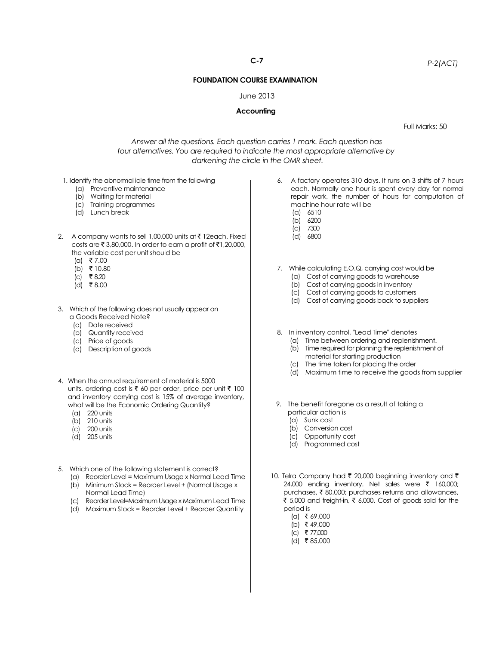## **FOUNDATION COURSE EXAMINATION**

## June 2013

## **Accounting**

Full Marks: 50

*Answer all the questions. Each question carries 1 mark. Each question has four alternatives. You are required to indicate the most appropriate alternative by darkening the circle in the OMR sheet.*

- 1. Identify the abnormal idle time from the following
	- (a) Preventive maintenance
	- (b) Waiting for material
	- (c) Training programmes
	- (d) Lunch break
- 2. A company wants to sell 1,00,000 units at  $\bar{\tau}$  12each. Fixed costs are  $\bar{\tau}$  3,80,000. In order to earn a profit of  $\bar{\tau}$ 1,20,000, the variable cost per unit should be
	- (a) ₹7.00
	- (b) ₹ 10.80
	- $(c)$  ₹ 8.20
	- $(d)$  ₹8.00
- 3. Which of the following does not usually appear on a Goods Received Note?
	- (a) Date received
	- (b) Quantity received
	- (c) Price of goods
	- (d) Description of goods
- 4. When the annual requirement of material is 5000 units, ordering cost is  $\bar{\tau}$  60 per order, price per unit  $\bar{\tau}$  100 and inventory carrying cost is 15% of average inventory, what will be the Economic Ordering Quantity?
	- (a) 220 units
	- (b) 210 units
	- (c) 200 units
	- (d) 205 units
- 5. Which one of the following statement is correct?
	- (a) Reorder Level = Maximum Usage x Normal Lead Time (b) Minimum Stock = Reorder Level + (Normal Usage x Normal Lead Time)
	- (c) Reorder Level=Maximum Usage x Maximum Lead Time
	- (d) Maximum Stock = Reorder Level + Reorder Quantity
- 6. A factory operates 310 days. It runs on 3 shifts of 7 hours each. Normally one hour is spent every day for normal repair work, the number of hours for computation of machine hour rate will be (a) 6510
	- (b) 6200
	- (c) 7300
	- (d) 6800
- 7. While calculating E.O.Q, carrying cost would be
	- (a) Cost of carrying goods to warehouse
	- (b) Cost of carrying goods in inventory
	- (c) Cost of carrying goods to customers
	- (d) Cost of carrying goods back to suppliers
- 8. In inventory control, "Lead Time" denotes
	- (a) Time between ordering and replenishment. (b) Time required for planning the replenishment of material for starting production
	- (c) The time taken for placing the order
	-
	- (d) Maximum time to receive the goods from supplier
- 9. The benefit foregone as a result of taking a particular action is
	- (a) Sunk cost
	- (b) Conversion cost
	- (c) Opportunity cost
	- (d) Programmed cost
- 10. Telra Company had  $\bar{\tau}$  20,000 beginning inventory and  $\bar{\tau}$ 24,000 ending inventory. Net sales were  $\bar{\tau}$  160,000; purchases,  $\bar{\tau}$  80,000; purchases returns and allowances, ₹ 5,000 and freight-in, ₹ 6,000. Cost of goods sold for the period is
	- $(a)$  ₹ 69,000
	- (b) ₹ 49,000
	- $(c)$  ₹ 77.000
	- $(d)$  ₹ 85,000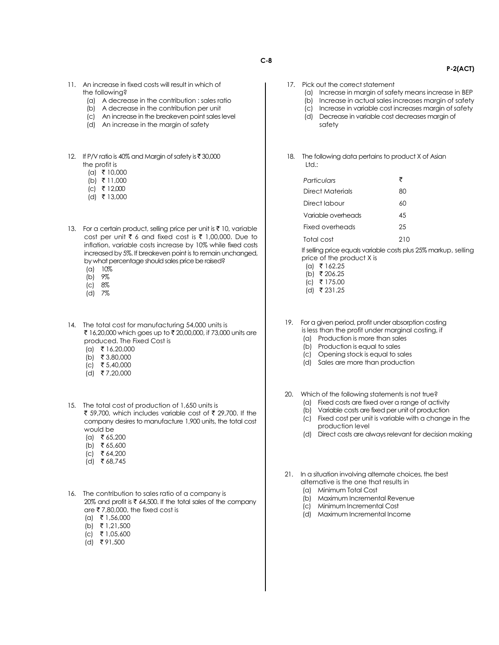- 11. An increase in fixed costs will result in which of the following?
	- (a) A decrease in the contribution : sales ratio
	- (b) A decrease in the contribution per unit
	- (c) An increase in the breakeven point sales level
	- (d) An increase in the margin of safety
- 12. If P/V ratio is 40% and Margin of safety is ₹ 30,000 the profit is
	- $(a) \times 10,000$
	- (b) ₹ 11,000
	- $(c)$  ₹ 12,000
	- $(d)$  ₹ 13,000
- 13. For a certain product, selling price per unit is  $\bar{\tau}$  10, variable cost per unit  $\bar{\tau}$  6 and fixed cost is  $\bar{\tau}$  1,00,000. Due to inflation, variable costs increase by 10% while fixed costs increased by 5%. If breakeven point is to remain unchanged, by what percentage should sales price be raised?
	- $(a) 10%$
	- (b) 9%
	- (c) 8%
	- (d) 7%
- 14. The total cost for manufacturing 54,000 units is ₹ 16,20,000 which goes up to ₹ 20,00,000, if 73,000 units are produced. The Fixed Cost is
	- .<br>(a) ₹16,20,000
	- (b) ₹ 3,80,000
	- $(C)$  ₹ 5,40,000
	- $(d)$  ₹7,20,000
- 15. The total cost of production of 1,650 units is ₹ 59,700, which includes variable cost of ₹ 29,700. If the company desires to manufacture 1,900 units, the total cost would be
	- $(a)$  ₹ 65,200  $(b)$  ₹ 65,600
	-
	- $|c|$  ₹ 64,200
	- $(d)$  ₹ 68,745
- 16. The contribution to sales ratio of a company is 20% and profit is  $\bar{\tau}$  64,500. If the total sales of the company are  $\overline{\tau}$  7,80,000, the fixed cost is
	- $(a)$  ₹ 1,56,000
	- $(b)$  ₹ 1,21,500
	- $(c)$  ₹ 1,05,600
	- $(d)$  ₹91,500
- **C-8**
	-
- 17. Pick out the correct statement
	- (a) Increase in margin of safety means increase in BEP

 **P-2(ACT)**

- (b) Increase in actual sales increases margin of safety
	- (c) Increase in variable cost increases margin of safety (d) Decrease in variable cost decreases margin of safety
- 18. The following data pertains to product X of Asian  $H<sub>1</sub>$

| Particulars        | ₹  |
|--------------------|----|
| Direct Materials   | 80 |
| Direct Iabour      | 60 |
| Variable overheads | 45 |
| Fixed overheads    | 25 |
| Total cost         | 0  |

If selling price equals variable costs plus 25% markup, selling price of the product X is

- $(a)$  ₹ 162.25
- $(b)$  ₹ 206.25  $(c)$  ₹ 175.00
- $(d)$  ₹ 231.25
- 
- 19. For a given period, profit under absorption costing is less than the profit under marginal costing, if
	- (a) Production is more than sales
	- (b) Production is equal to sales
	- (c) Opening stock is equal to sales
	- (d) Sales are more than production
- 20. Which of the following statements is not true?
	- (a) Fixed costs are fixed over a range of activity
	- (b) Variable costs are fixed per unit of production
	- (c) Fixed cost per unit is variable with a change in the production level
	- (d) Direct costs are always relevant for decision making
- 21. In a situation involving alternate choices, the best alternative is the one that results in
	- (a) Minimum Total Cost
	- (b) Maximum Incremental Revenue
	- (c) Minimum Incremental Cost
	- (d) Maximum Incremental Income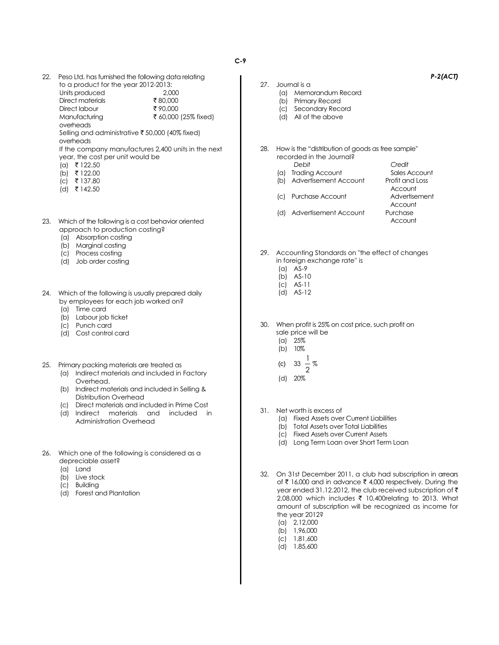22. Peso Ltd. has furnished the following data relating to a product for the year 2012-2013: Units produced 2,000

> Direct materials  $\frac{1}{3}$  80,000<br>Direct labour  $\frac{1}{3}$  90.000 Direct labour<br>Manufacturing ₹ 60,000 (25% fixed) overheads

Selling and administrative  $\bar{\bar{\tau}}$  50,000 (40% fixed) overheads

If the company manufactures 2,400 units in the next year, the cost per unit would be

- $(a)$  ₹ 122.50
- (b) ₹ 122.00
- $(c)$  ₹ 137.80
- (d) ` 142.50
- 23. Which of the following is a cost behavior oriented approach to production costing?
	- (a) Absorption costing
	- (b) Marginal costing
	- (c) Process costing
	- (d) Job order costing
- 24. Which of the following is usually prepared daily by employees for each job worked on?
	- (a) Time card
	- (b) Labour job ticket
	- (c) Punch card
	- (d) Cost control card
- 25. Primary packing materials are treated as
	- (a) Indirect materials and included in Factory Overhead.
	- (b) Indirect materials and included in Selling & Distribution Overhead
	- (c) Direct materials and included in Prime Cost
	- (d) Indirect materials and included in Administration Overhead
- 26. Which one of the following is considered as a depreciable asset?
	- (a) Land
	- (b) Live stock
	- (c) Building
	- (d) Forest and Plantation

*P-2(ACT)*

- 27. Journal is a
	- (a) Memorandum Record
	- (b) Primary Record (c) Secondary Record
	- (d) All of the above
	-
- 28. How is the "distribution of goods as free sample'' recorded in the Journal? *Debit Credit*
	-
	- (a) Trading Account Sales Account
	- (b) Advertisement Account Profit and Loss
	- (c) Purchase Account Advertisement
	- (d) Advertisement Account Purchase
		- Account

**Account** 

**Account** 

- 29. Accounting Standards on "the effect of changes in foreign exchange rate'' is
	- (a) AS-9
	- (b) AS-10
	- (c) AS-11
	- (d) AS-12
- 30. When profit is 25% on cost price, such profit on sale price will be
	- $(a) 25%  
	(b) 10%$
	- 10%
	- (c) 33 1 %
	- 2
	- (d) 20%
- 31. Net worth is excess of
	- (a) Fixed Assets over Current Liabilities
	- (b) Total Assets over Total Liabilities
	- (c) Fixed Assets over Current Assets
	- (d) Long Term Loan over Short Term Loan
- 32. On 31st December 2011, a club had subscription in arrears of  $\bar{\tau}$  16,000 and in advance  $\bar{\tau}$  4,000 respectively. During the year ended 31.12.2012, the club received subscription of  $\bar{\tau}$ 2,08,000 which includes ₹ 10,400relating to 2013. What amount of subscription will be recognized as income for the year 2012?
	- (a) 2,12,000
	- (b) 1,96,000
	- (c) 1,81,600
	- (d) 1,85,600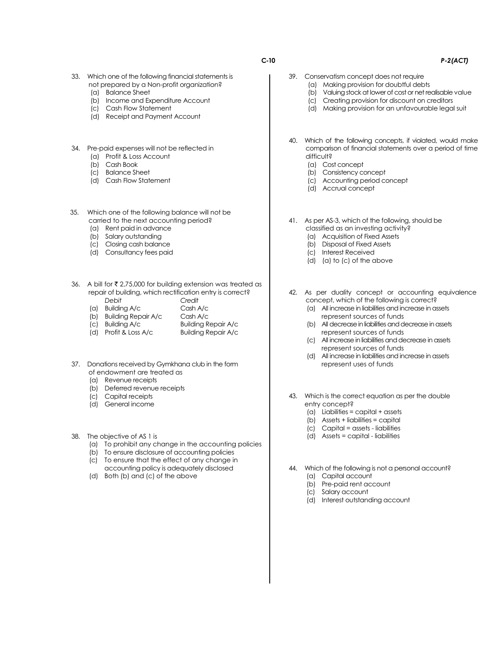- 33. Which one of the following financial statements is not prepared by a Non-profit organization?
	- (a) Balance Sheet
	- (b) Income and Expenditure Account
	- (c) Cash Flow Statement
	- (d) Receipt and Payment Account
- 34. Pre-paid expenses will not be reflected in
	- (a) Profit & Loss Account
	- (b) Cash Book
	- (c) Balance Sheet
	- (d) Cash Flow Statement
- 35. Which one of the following balance will not be carried to the next accounting period?
	- (a) Rent paid in advance
	- (b) Salary outstanding
	- (c) Closing cash balance
	- (d) Consultancy fees paid
- 36. A bill for  $\bar{\tau}$  2,75,000 for building extension was treated as repair of building, which rectification entry is correct? *Debit Credit*
	- (a) Building  $A/c$
	- (b) Building Repair A/c Cash A/c
	- (c) Building A/c Building Repair A/c
	- (d) Profit & Loss A/c Building Repair A/c
- 37. Donations received by Gymkhana club in the form of endowment are treated as
	- (a) Revenue receipts
	- (b) Deferred revenue receipts
	- (c) Capital receipts
	- (d) General income
- 38. The objective of AS 1 is
	- (a) To prohibit any change in the accounting policies
	- (b) To ensure disclosure of accounting policies
	- (c) To ensure that the effect of any change in accounting policy is adequately disclosed
	- (d) Both (b) and (c) of the above
- 
- 39. Conservatism concept does not require
	- (a) Making provision for doubtful debts
	- (b) Valuing stock at lower of cost or net realisable value
	- (c) Creating provision for discount on creditors
	- (d) Making provision for an unfavourable legal suit
	- 40. Which of the following concepts, if violated, would make comparison of financial statements over a period of time difficult?
		- (a) Cost concept
		- (b) Consistency concept
		- (c) Accounting period concept
		- (d) Accrual concept
	- 41. As per AS-3, which of the following, should be classified as an investing activity?
		- (a) Acquisition of Fixed Assets
		- (b) Disposal of Fixed Assets
		- (c) Interest Received
		- (d) (a) to (c) of the above
	- 42. As per duality concept or accounting equivalence concept, which of the following is correct?
		- (a) All increase in liabilities and increase in assets represent sources of funds
		- (b) All decrease in liabilities and decrease in assets represent sources of funds
		- (c) All increase in liabilities and decrease in assets represent sources of funds
		- (d) All increase in liabilities and increase in assets represent uses of funds
- 43. Which is the correct equation as per the double entry concept?
	- (a) Liabilities = capital + assets
	- (b) Assets + liabilities = capital
	- (c) Capital = assets liabilities
	- (d) Assets = capital liabilities
- 44. Which of the following is not a personal account?
	- (a) Capital account
	- (b) Pre-paid rent account
	- (c) Salary account
	- (d) Interest outstanding account

## **C-10** *P-2(ACT)*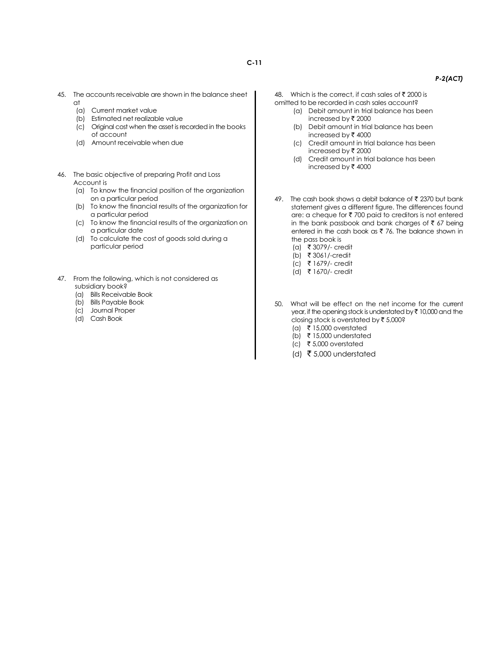- 45. The accounts receivable are shown in the balance sheet at
	- (a) Current market value
	- (b) Estimated net realizable value
	- (c) Original cost when the asset is recorded in the books of account
	- (d) Amount receivable when due
- 46. The basic objective of preparing Profit and Loss Account is
	- (a) To know the financial position of the organization on a particular period
	- (b) To know the financial results of the organization for a particular period
	- (c) To know the financial results of the organization on a particular date
	- (d) To calculate the cost of goods sold during a particular period
- 47. From the following, which is not considered as subsidiary book?
	- (a) Bills Receivable Book
	- (b) Bills Payable Book
	- (c) Journal Proper
	- (d) Cash Book

48. Which is the correct, if cash sales of  $\bar{z}$  2000 is

- omitted to be recorded in cash sales account? (a) Debit amount in trial balance has been increased by  $\bar{\mathfrak{c}}$  2000
	- (b) Debit amount in trial balance has been increased by  $\bar{\tau}$  4000
	- (c) Credit amount in trial balance has been increased by  $\bar{\tau}$  2000
	- (d) Credit amount in trial balance has been increased by  $\bar{\tau}$  4000
- 49. The cash book shows a debit balance of  $\bar{\tau}$  2370 but bank statement gives a different figure. The differences found are: a cheque for  $\bar{\tau}$  700 paid to creditors is not entered in the bank passbook and bank charges of  $\bar{z}$  67 being entered in the cash book as  $\bar{\tau}$  76. The balance shown in the pass book is
	- (a) ` 3079/- credit
	- (b) ` 3061/-credit
	- (c) ` 1679/- credit
	- (d) ` 1670/- credit
- 50. What will be effect on the net income for the current year, if the opening stock is understated by  $\bar{\tau}$  10,000 and the closing stock is overstated by  $\bar{\tau}$  5,000?
	- (a) ₹ 15,000 overstated
	- $(b)$  ₹ 15,000 understated
	- (c) ₹ 5,000 overstated
	- (d)  $\bar{z}$  5,000 understated